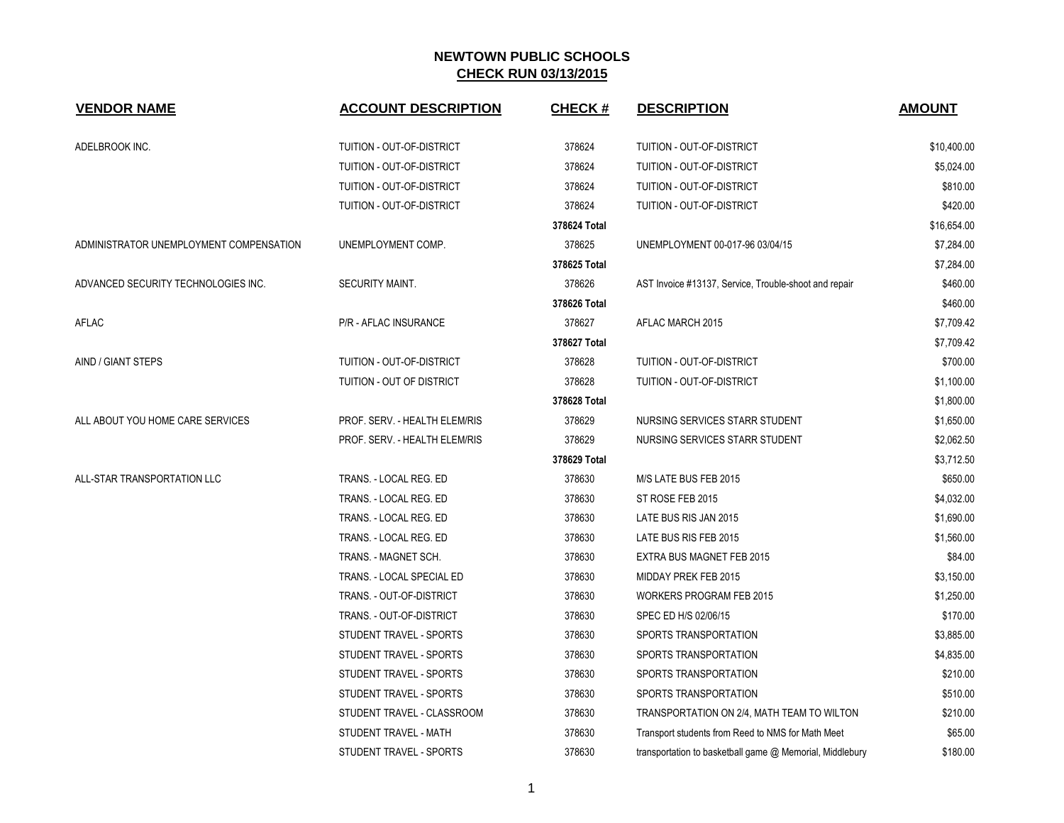| <b>VENDOR NAME</b>                      | <b>ACCOUNT DESCRIPTION</b>    | <b>CHECK#</b> | <b>DESCRIPTION</b>                                       | <b>AMOUNT</b> |
|-----------------------------------------|-------------------------------|---------------|----------------------------------------------------------|---------------|
| ADELBROOK INC.                          | TUITION - OUT-OF-DISTRICT     | 378624        | TUITION - OUT-OF-DISTRICT                                | \$10,400.00   |
|                                         | TUITION - OUT-OF-DISTRICT     | 378624        | TUITION - OUT-OF-DISTRICT                                | \$5,024.00    |
|                                         | TUITION - OUT-OF-DISTRICT     | 378624        | TUITION - OUT-OF-DISTRICT                                | \$810.00      |
|                                         | TUITION - OUT-OF-DISTRICT     | 378624        | TUITION - OUT-OF-DISTRICT                                | \$420.00      |
|                                         |                               | 378624 Total  |                                                          | \$16,654.00   |
| ADMINISTRATOR UNEMPLOYMENT COMPENSATION | UNEMPLOYMENT COMP.            | 378625        | UNEMPLOYMENT 00-017-96 03/04/15                          | \$7,284.00    |
|                                         |                               | 378625 Total  |                                                          | \$7,284.00    |
| ADVANCED SECURITY TECHNOLOGIES INC.     | <b>SECURITY MAINT.</b>        | 378626        | AST Invoice #13137, Service, Trouble-shoot and repair    | \$460.00      |
|                                         |                               | 378626 Total  |                                                          | \$460.00      |
| AFLAC                                   | P/R - AFLAC INSURANCE         | 378627        | AFLAC MARCH 2015                                         | \$7,709.42    |
|                                         |                               | 378627 Total  |                                                          | \$7,709.42    |
| AIND / GIANT STEPS                      | TUITION - OUT-OF-DISTRICT     | 378628        | TUITION - OUT-OF-DISTRICT                                | \$700.00      |
|                                         | TUITION - OUT OF DISTRICT     | 378628        | TUITION - OUT-OF-DISTRICT                                | \$1,100.00    |
|                                         |                               | 378628 Total  |                                                          | \$1,800.00    |
| ALL ABOUT YOU HOME CARE SERVICES        | PROF. SERV. - HEALTH ELEM/RIS | 378629        | NURSING SERVICES STARR STUDENT                           | \$1,650.00    |
|                                         | PROF. SERV. - HEALTH ELEM/RIS | 378629        | NURSING SERVICES STARR STUDENT                           | \$2,062.50    |
|                                         |                               | 378629 Total  |                                                          | \$3,712.50    |
| ALL-STAR TRANSPORTATION LLC             | TRANS. - LOCAL REG. ED        | 378630        | M/S LATE BUS FEB 2015                                    | \$650.00      |
|                                         | TRANS. - LOCAL REG. ED        | 378630        | ST ROSE FEB 2015                                         | \$4,032.00    |
|                                         | TRANS. - LOCAL REG. ED        | 378630        | LATE BUS RIS JAN 2015                                    | \$1,690.00    |
|                                         | TRANS. - LOCAL REG. ED        | 378630        | LATE BUS RIS FEB 2015                                    | \$1,560.00    |
|                                         | TRANS. - MAGNET SCH.          | 378630        | EXTRA BUS MAGNET FEB 2015                                | \$84.00       |
|                                         | TRANS. - LOCAL SPECIAL ED     | 378630        | MIDDAY PREK FEB 2015                                     | \$3,150.00    |
|                                         | TRANS. - OUT-OF-DISTRICT      | 378630        | <b>WORKERS PROGRAM FEB 2015</b>                          | \$1,250.00    |
|                                         | TRANS. - OUT-OF-DISTRICT      | 378630        | SPEC ED H/S 02/06/15                                     | \$170.00      |
|                                         | STUDENT TRAVEL - SPORTS       | 378630        | SPORTS TRANSPORTATION                                    | \$3,885.00    |
|                                         | STUDENT TRAVEL - SPORTS       | 378630        | SPORTS TRANSPORTATION                                    | \$4,835.00    |
|                                         | STUDENT TRAVEL - SPORTS       | 378630        | SPORTS TRANSPORTATION                                    | \$210.00      |
|                                         | STUDENT TRAVEL - SPORTS       | 378630        | SPORTS TRANSPORTATION                                    | \$510.00      |
|                                         | STUDENT TRAVEL - CLASSROOM    | 378630        | TRANSPORTATION ON 2/4, MATH TEAM TO WILTON               | \$210.00      |
|                                         | STUDENT TRAVEL - MATH         | 378630        | Transport students from Reed to NMS for Math Meet        | \$65.00       |
|                                         | STUDENT TRAVEL - SPORTS       | 378630        | transportation to basketball game @ Memorial, Middlebury | \$180.00      |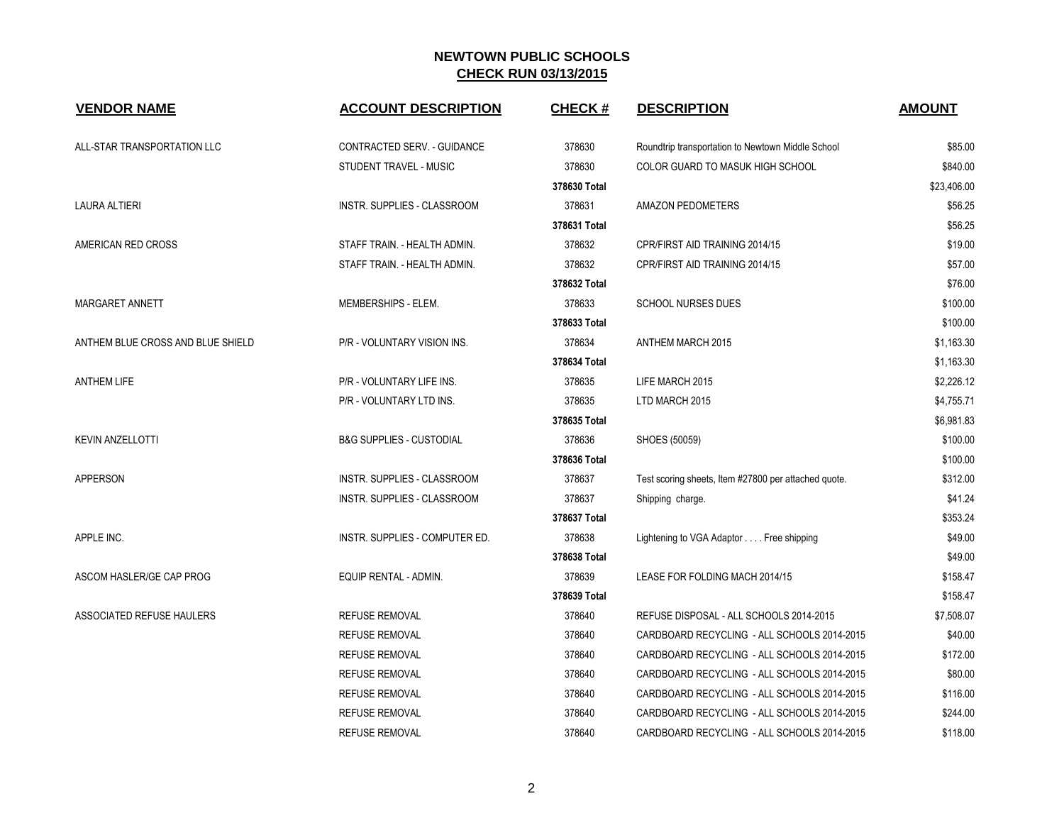| <b>VENDOR NAME</b>                | <b>ACCOUNT DESCRIPTION</b>          | <b>CHECK#</b> | <b>DESCRIPTION</b>                                   | <b>AMOUNT</b> |
|-----------------------------------|-------------------------------------|---------------|------------------------------------------------------|---------------|
| ALL-STAR TRANSPORTATION LLC       | CONTRACTED SERV. - GUIDANCE         | 378630        | Roundtrip transportation to Newtown Middle School    | \$85.00       |
|                                   | STUDENT TRAVEL - MUSIC              | 378630        | <b>COLOR GUARD TO MASUK HIGH SCHOOL</b>              | \$840.00      |
|                                   |                                     | 378630 Total  |                                                      | \$23,406.00   |
| <b>LAURA ALTIERI</b>              | <b>INSTR. SUPPLIES - CLASSROOM</b>  | 378631        | <b>AMAZON PEDOMETERS</b>                             | \$56.25       |
|                                   |                                     | 378631 Total  |                                                      | \$56.25       |
| AMERICAN RED CROSS                | STAFF TRAIN. - HEALTH ADMIN.        | 378632        | CPR/FIRST AID TRAINING 2014/15                       | \$19.00       |
|                                   | STAFF TRAIN. - HEALTH ADMIN.        | 378632        | CPR/FIRST AID TRAINING 2014/15                       | \$57.00       |
|                                   |                                     | 378632 Total  |                                                      | \$76.00       |
| MARGARET ANNETT                   | MEMBERSHIPS - ELEM.                 | 378633        | <b>SCHOOL NURSES DUES</b>                            | \$100.00      |
|                                   |                                     | 378633 Total  |                                                      | \$100.00      |
| ANTHEM BLUE CROSS AND BLUE SHIELD | P/R - VOLUNTARY VISION INS.         | 378634        | <b>ANTHEM MARCH 2015</b>                             | \$1,163.30    |
|                                   |                                     | 378634 Total  |                                                      | \$1,163.30    |
| <b>ANTHEM LIFE</b>                | P/R - VOLUNTARY LIFE INS.           | 378635        | LIFE MARCH 2015                                      | \$2,226.12    |
|                                   | P/R - VOLUNTARY LTD INS.            | 378635        | LTD MARCH 2015                                       | \$4,755.71    |
|                                   |                                     | 378635 Total  |                                                      | \$6,981.83    |
| <b>KEVIN ANZELLOTTI</b>           | <b>B&amp;G SUPPLIES - CUSTODIAL</b> | 378636        | SHOES (50059)                                        | \$100.00      |
|                                   |                                     | 378636 Total  |                                                      | \$100.00      |
| <b>APPERSON</b>                   | INSTR. SUPPLIES - CLASSROOM         | 378637        | Test scoring sheets, Item #27800 per attached quote. | \$312.00      |
|                                   | <b>INSTR. SUPPLIES - CLASSROOM</b>  | 378637        | Shipping charge.                                     | \$41.24       |
|                                   |                                     | 378637 Total  |                                                      | \$353.24      |
| APPLE INC.                        | INSTR. SUPPLIES - COMPUTER ED.      | 378638        | Lightening to VGA Adaptor Free shipping              | \$49.00       |
|                                   |                                     | 378638 Total  |                                                      | \$49.00       |
| ASCOM HASLER/GE CAP PROG          | EQUIP RENTAL - ADMIN.               | 378639        | LEASE FOR FOLDING MACH 2014/15                       | \$158.47      |
|                                   |                                     | 378639 Total  |                                                      | \$158.47      |
| ASSOCIATED REFUSE HAULERS         | <b>REFUSE REMOVAL</b>               | 378640        | REFUSE DISPOSAL - ALL SCHOOLS 2014-2015              | \$7,508.07    |
|                                   | <b>REFUSE REMOVAL</b>               | 378640        | CARDBOARD RECYCLING - ALL SCHOOLS 2014-2015          | \$40.00       |
|                                   | <b>REFUSE REMOVAL</b>               | 378640        | CARDBOARD RECYCLING - ALL SCHOOLS 2014-2015          | \$172.00      |
|                                   | <b>REFUSE REMOVAL</b>               | 378640        | CARDBOARD RECYCLING - ALL SCHOOLS 2014-2015          | \$80.00       |
|                                   | <b>REFUSE REMOVAL</b>               | 378640        | CARDBOARD RECYCLING - ALL SCHOOLS 2014-2015          | \$116.00      |
|                                   | <b>REFUSE REMOVAL</b>               | 378640        | CARDBOARD RECYCLING - ALL SCHOOLS 2014-2015          | \$244.00      |
|                                   | <b>REFUSE REMOVAL</b>               | 378640        | CARDBOARD RECYCLING - ALL SCHOOLS 2014-2015          | \$118.00      |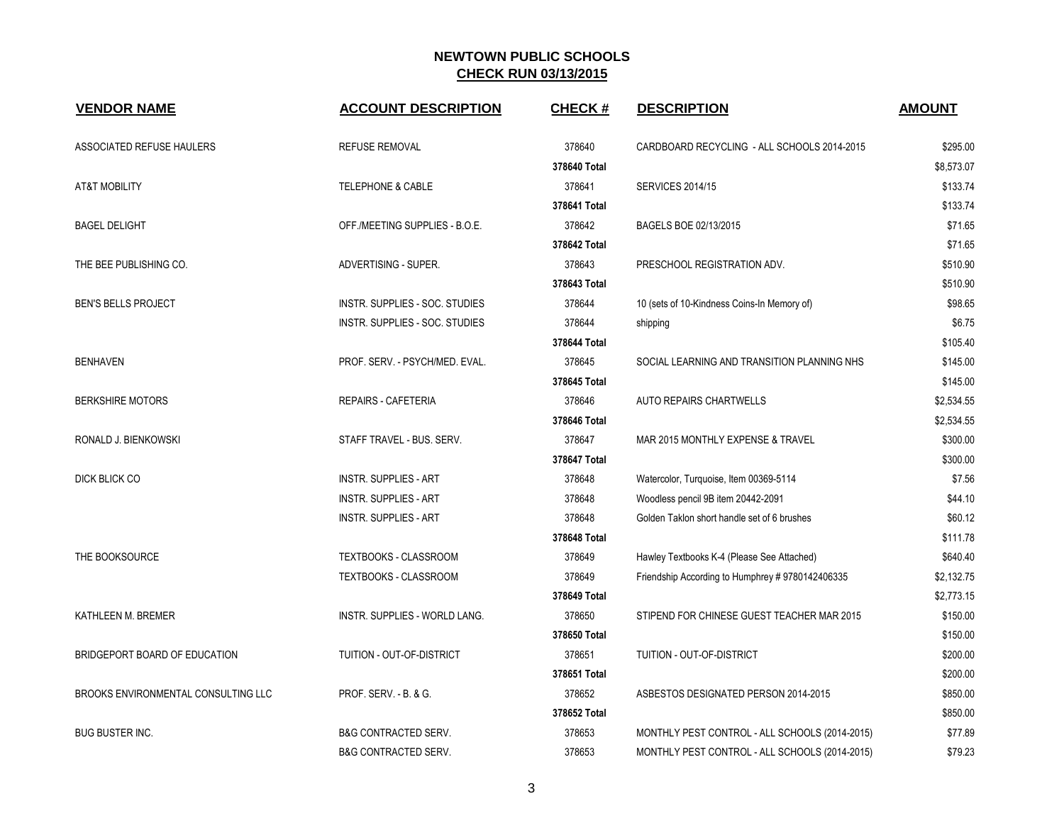| <b>VENDOR NAME</b>                  | <b>ACCOUNT DESCRIPTION</b>      | <b>CHECK#</b> | <b>DESCRIPTION</b>                               | <b>AMOUNT</b> |
|-------------------------------------|---------------------------------|---------------|--------------------------------------------------|---------------|
| ASSOCIATED REFUSE HAULERS           | <b>REFUSE REMOVAL</b>           | 378640        | CARDBOARD RECYCLING - ALL SCHOOLS 2014-2015      | \$295.00      |
|                                     |                                 | 378640 Total  |                                                  | \$8.573.07    |
| <b>AT&amp;T MOBILITY</b>            | <b>TELEPHONE &amp; CABLE</b>    | 378641        | <b>SERVICES 2014/15</b>                          | \$133.74      |
|                                     |                                 | 378641 Total  |                                                  | \$133.74      |
| <b>BAGEL DELIGHT</b>                | OFF./MEETING SUPPLIES - B.O.E.  | 378642        | BAGELS BOE 02/13/2015                            | \$71.65       |
|                                     |                                 | 378642 Total  |                                                  | \$71.65       |
| THE BEE PUBLISHING CO.              | ADVERTISING - SUPER.            | 378643        | PRESCHOOL REGISTRATION ADV.                      | \$510.90      |
|                                     |                                 | 378643 Total  |                                                  | \$510.90      |
| BEN'S BELLS PROJECT                 | INSTR. SUPPLIES - SOC. STUDIES  | 378644        | 10 (sets of 10-Kindness Coins-In Memory of)      | \$98.65       |
|                                     | INSTR. SUPPLIES - SOC. STUDIES  | 378644        | shipping                                         | \$6.75        |
|                                     |                                 | 378644 Total  |                                                  | \$105.40      |
| <b>BENHAVEN</b>                     | PROF. SERV. - PSYCH/MED. EVAL.  | 378645        | SOCIAL LEARNING AND TRANSITION PLANNING NHS      | \$145.00      |
|                                     |                                 | 378645 Total  |                                                  | \$145.00      |
| <b>BERKSHIRE MOTORS</b>             | REPAIRS - CAFETERIA             | 378646        | <b>AUTO REPAIRS CHARTWELLS</b>                   | \$2,534.55    |
|                                     |                                 | 378646 Total  |                                                  | \$2,534.55    |
| RONALD J. BIENKOWSKI                | STAFF TRAVEL - BUS. SERV.       | 378647        | MAR 2015 MONTHLY EXPENSE & TRAVEL                | \$300.00      |
|                                     |                                 | 378647 Total  |                                                  | \$300.00      |
| DICK BLICK CO                       | <b>INSTR. SUPPLIES - ART</b>    | 378648        | Watercolor, Turquoise, Item 00369-5114           | \$7.56        |
|                                     | <b>INSTR. SUPPLIES - ART</b>    | 378648        | Woodless pencil 9B item 20442-2091               | \$44.10       |
|                                     | <b>INSTR. SUPPLIES - ART</b>    | 378648        | Golden Taklon short handle set of 6 brushes      | \$60.12       |
|                                     |                                 | 378648 Total  |                                                  | \$111.78      |
| THE BOOKSOURCE                      | TEXTBOOKS - CLASSROOM           | 378649        | Hawley Textbooks K-4 (Please See Attached)       | \$640.40      |
|                                     | TEXTBOOKS - CLASSROOM           | 378649        | Friendship According to Humphrey # 9780142406335 | \$2,132.75    |
|                                     |                                 | 378649 Total  |                                                  | \$2,773.15    |
| KATHLEEN M. BREMER                  | INSTR. SUPPLIES - WORLD LANG.   | 378650        | STIPEND FOR CHINESE GUEST TEACHER MAR 2015       | \$150.00      |
|                                     |                                 | 378650 Total  |                                                  | \$150.00      |
| BRIDGEPORT BOARD OF EDUCATION       | TUITION - OUT-OF-DISTRICT       | 378651        | TUITION - OUT-OF-DISTRICT                        | \$200.00      |
|                                     |                                 | 378651 Total  |                                                  | \$200.00      |
| BROOKS ENVIRONMENTAL CONSULTING LLC | PROF. SERV. - B. & G.           | 378652        | ASBESTOS DESIGNATED PERSON 2014-2015             | \$850.00      |
|                                     |                                 | 378652 Total  |                                                  | \$850.00      |
| <b>BUG BUSTER INC.</b>              | <b>B&amp;G CONTRACTED SERV.</b> | 378653        | MONTHLY PEST CONTROL - ALL SCHOOLS (2014-2015)   | \$77.89       |
|                                     | <b>B&amp;G CONTRACTED SERV.</b> | 378653        | MONTHLY PEST CONTROL - ALL SCHOOLS (2014-2015)   | \$79.23       |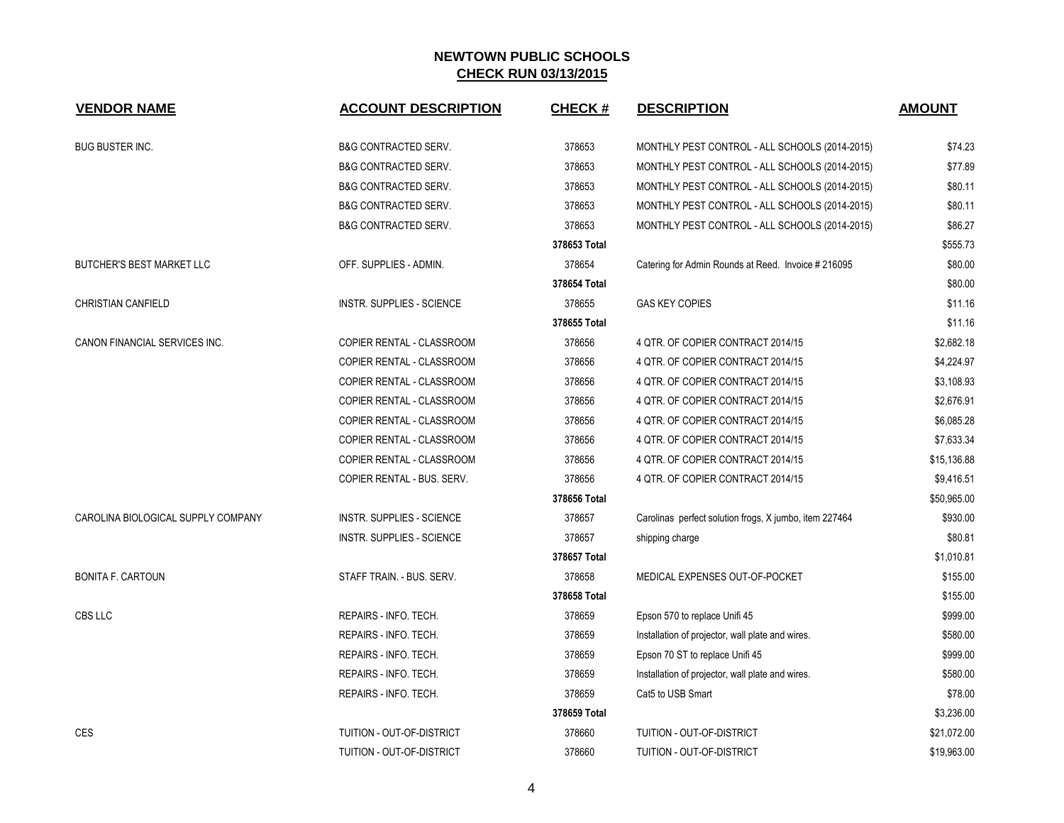| <b>VENDOR NAME</b>                 | <b>ACCOUNT DESCRIPTION</b>       | <b>CHECK#</b> | <b>DESCRIPTION</b>                                     | <b>AMOUNT</b> |
|------------------------------------|----------------------------------|---------------|--------------------------------------------------------|---------------|
| <b>BUG BUSTER INC.</b>             | <b>B&amp;G CONTRACTED SERV.</b>  | 378653        | MONTHLY PEST CONTROL - ALL SCHOOLS (2014-2015)         | \$74.23       |
|                                    | <b>B&amp;G CONTRACTED SERV.</b>  | 378653        | MONTHLY PEST CONTROL - ALL SCHOOLS (2014-2015)         | \$77.89       |
|                                    | <b>B&amp;G CONTRACTED SERV.</b>  | 378653        | MONTHLY PEST CONTROL - ALL SCHOOLS (2014-2015)         | \$80.11       |
|                                    | <b>B&amp;G CONTRACTED SERV.</b>  | 378653        | MONTHLY PEST CONTROL - ALL SCHOOLS (2014-2015)         | \$80.11       |
|                                    | <b>B&amp;G CONTRACTED SERV.</b>  | 378653        | MONTHLY PEST CONTROL - ALL SCHOOLS (2014-2015)         | \$86.27       |
|                                    |                                  | 378653 Total  |                                                        | \$555.73      |
| <b>BUTCHER'S BEST MARKET LLC</b>   | OFF. SUPPLIES - ADMIN.           | 378654        | Catering for Admin Rounds at Reed. Invoice #216095     | \$80.00       |
|                                    |                                  | 378654 Total  |                                                        | \$80.00       |
| <b>CHRISTIAN CANFIELD</b>          | INSTR. SUPPLIES - SCIENCE        | 378655        | <b>GAS KEY COPIES</b>                                  | \$11.16       |
|                                    |                                  | 378655 Total  |                                                        | \$11.16       |
| CANON FINANCIAL SERVICES INC.      | COPIER RENTAL - CLASSROOM        | 378656        | 4 QTR. OF COPIER CONTRACT 2014/15                      | \$2,682.18    |
|                                    | <b>COPIER RENTAL - CLASSROOM</b> | 378656        | 4 QTR. OF COPIER CONTRACT 2014/15                      | \$4,224.97    |
|                                    | COPIER RENTAL - CLASSROOM        | 378656        | 4 QTR. OF COPIER CONTRACT 2014/15                      | \$3,108.93    |
|                                    | COPIER RENTAL - CLASSROOM        | 378656        | 4 QTR. OF COPIER CONTRACT 2014/15                      | \$2,676.91    |
|                                    | COPIER RENTAL - CLASSROOM        | 378656        | 4 QTR. OF COPIER CONTRACT 2014/15                      | \$6,085.28    |
|                                    | COPIER RENTAL - CLASSROOM        | 378656        | 4 QTR. OF COPIER CONTRACT 2014/15                      | \$7,633.34    |
|                                    | COPIER RENTAL - CLASSROOM        | 378656        | 4 QTR. OF COPIER CONTRACT 2014/15                      | \$15,136.88   |
|                                    | COPIER RENTAL - BUS. SERV.       | 378656        | 4 QTR. OF COPIER CONTRACT 2014/15                      | \$9,416.51    |
|                                    |                                  | 378656 Total  |                                                        | \$50,965.00   |
| CAROLINA BIOLOGICAL SUPPLY COMPANY | <b>INSTR. SUPPLIES - SCIENCE</b> | 378657        | Carolinas perfect solution frogs, X jumbo, item 227464 | \$930.00      |
|                                    | INSTR. SUPPLIES - SCIENCE        | 378657        | shipping charge                                        | \$80.81       |
|                                    |                                  | 378657 Total  |                                                        | \$1,010.81    |
| <b>BONITA F. CARTOUN</b>           | STAFF TRAIN. - BUS. SERV.        | 378658        | MEDICAL EXPENSES OUT-OF-POCKET                         | \$155.00      |
|                                    |                                  | 378658 Total  |                                                        | \$155.00      |
| CBS LLC                            | REPAIRS - INFO. TECH.            | 378659        | Epson 570 to replace Unifi 45                          | \$999.00      |
|                                    | REPAIRS - INFO. TECH.            | 378659        | Installation of projector, wall plate and wires.       | \$580.00      |
|                                    | REPAIRS - INFO. TECH.            | 378659        | Epson 70 ST to replace Unifi 45                        | \$999.00      |
|                                    | REPAIRS - INFO. TECH.            | 378659        | Installation of projector, wall plate and wires.       | \$580.00      |
|                                    | REPAIRS - INFO. TECH.            | 378659        | Cat5 to USB Smart                                      | \$78.00       |
|                                    |                                  | 378659 Total  |                                                        | \$3,236.00    |
| <b>CES</b>                         | TUITION - OUT-OF-DISTRICT        | 378660        | <b>TUITION - OUT-OF-DISTRICT</b>                       | \$21,072.00   |
|                                    | TUITION - OUT-OF-DISTRICT        | 378660        | TUITION - OUT-OF-DISTRICT                              | \$19,963.00   |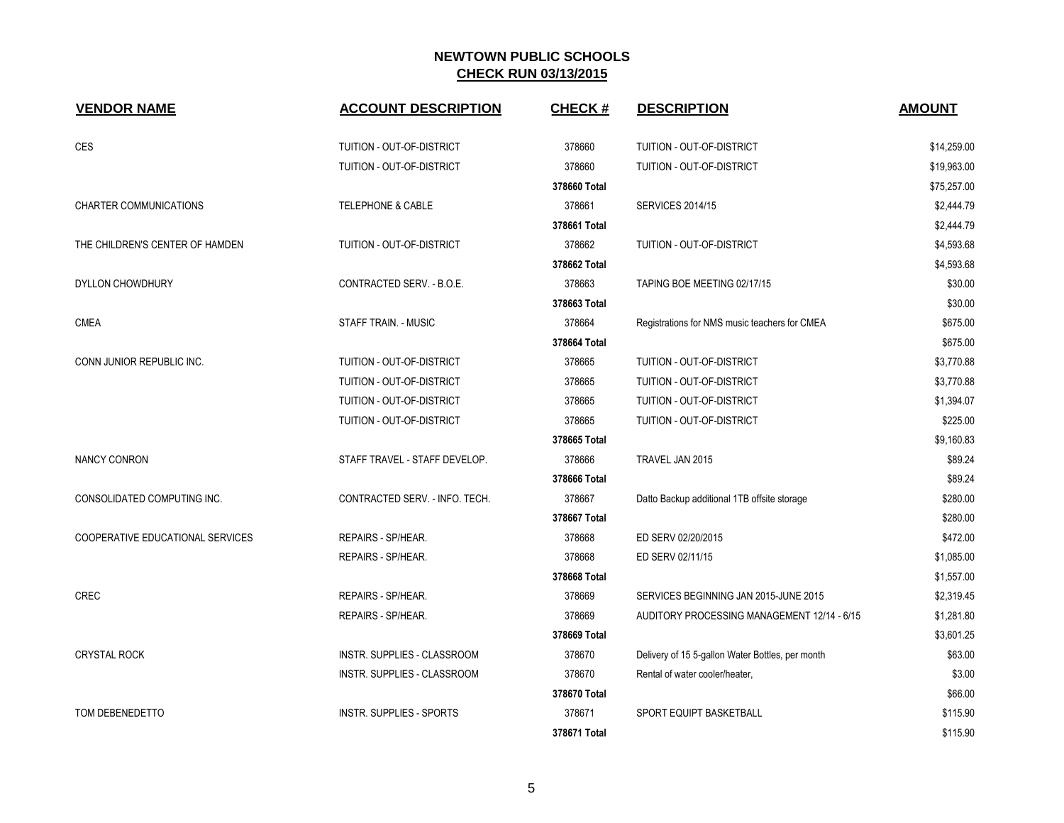| <b>VENDOR NAME</b>               | <b>ACCOUNT DESCRIPTION</b>     | <b>CHECK#</b> | <b>DESCRIPTION</b>                               | <b>AMOUNT</b> |
|----------------------------------|--------------------------------|---------------|--------------------------------------------------|---------------|
|                                  |                                |               |                                                  |               |
| CES                              | TUITION - OUT-OF-DISTRICT      | 378660        | TUITION - OUT-OF-DISTRICT                        | \$14,259.00   |
|                                  | TUITION - OUT-OF-DISTRICT      | 378660        | TUITION - OUT-OF-DISTRICT                        | \$19,963.00   |
|                                  |                                | 378660 Total  |                                                  | \$75,257.00   |
| <b>CHARTER COMMUNICATIONS</b>    | <b>TELEPHONE &amp; CABLE</b>   | 378661        | <b>SERVICES 2014/15</b>                          | \$2,444.79    |
|                                  |                                | 378661 Total  |                                                  | \$2,444.79    |
| THE CHILDREN'S CENTER OF HAMDEN  | TUITION - OUT-OF-DISTRICT      | 378662        | TUITION - OUT-OF-DISTRICT                        | \$4,593.68    |
|                                  |                                | 378662 Total  |                                                  | \$4,593.68    |
| DYLLON CHOWDHURY                 | CONTRACTED SERV. - B.O.E.      | 378663        | TAPING BOE MEETING 02/17/15                      | \$30.00       |
|                                  |                                | 378663 Total  |                                                  | \$30.00       |
| <b>CMEA</b>                      | <b>STAFF TRAIN. - MUSIC</b>    | 378664        | Registrations for NMS music teachers for CMEA    | \$675.00      |
|                                  |                                | 378664 Total  |                                                  | \$675.00      |
| CONN JUNIOR REPUBLIC INC.        | TUITION - OUT-OF-DISTRICT      | 378665        | TUITION - OUT-OF-DISTRICT                        | \$3,770.88    |
|                                  | TUITION - OUT-OF-DISTRICT      | 378665        | TUITION - OUT-OF-DISTRICT                        | \$3,770.88    |
|                                  | TUITION - OUT-OF-DISTRICT      | 378665        | TUITION - OUT-OF-DISTRICT                        | \$1,394.07    |
|                                  | TUITION - OUT-OF-DISTRICT      | 378665        | TUITION - OUT-OF-DISTRICT                        | \$225.00      |
|                                  |                                | 378665 Total  |                                                  | \$9,160.83    |
| <b>NANCY CONRON</b>              | STAFF TRAVEL - STAFF DEVELOP.  | 378666        | TRAVEL JAN 2015                                  | \$89.24       |
|                                  |                                | 378666 Total  |                                                  | \$89.24       |
| CONSOLIDATED COMPUTING INC.      | CONTRACTED SERV. - INFO. TECH. | 378667        | Datto Backup additional 1TB offsite storage      | \$280.00      |
|                                  |                                | 378667 Total  |                                                  | \$280.00      |
| COOPERATIVE EDUCATIONAL SERVICES | REPAIRS - SP/HEAR.             | 378668        | ED SERV 02/20/2015                               | \$472.00      |
|                                  | REPAIRS - SP/HEAR.             | 378668        | ED SERV 02/11/15                                 | \$1,085.00    |
|                                  |                                | 378668 Total  |                                                  | \$1,557.00    |
| <b>CREC</b>                      | REPAIRS - SP/HEAR.             | 378669        | SERVICES BEGINNING JAN 2015-JUNE 2015            | \$2,319.45    |
|                                  | REPAIRS - SP/HEAR.             | 378669        | AUDITORY PROCESSING MANAGEMENT 12/14 - 6/15      | \$1,281.80    |
|                                  |                                | 378669 Total  |                                                  | \$3,601.25    |
| <b>CRYSTAL ROCK</b>              | INSTR. SUPPLIES - CLASSROOM    | 378670        | Delivery of 15 5-gallon Water Bottles, per month | \$63.00       |
|                                  | INSTR. SUPPLIES - CLASSROOM    | 378670        | Rental of water cooler/heater,                   | \$3.00        |
|                                  |                                | 378670 Total  |                                                  | \$66.00       |
| TOM DEBENEDETTO                  | INSTR. SUPPLIES - SPORTS       | 378671        | SPORT EQUIPT BASKETBALL                          | \$115.90      |
|                                  |                                | 378671 Total  |                                                  | \$115.90      |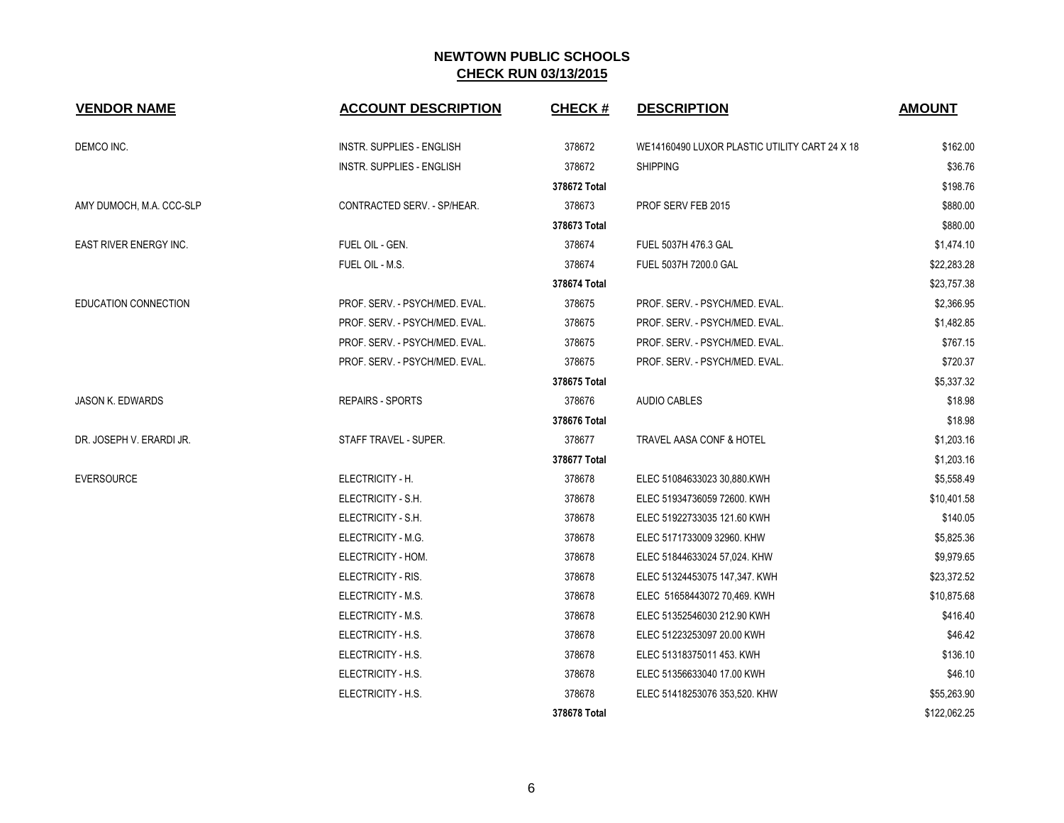| <b>VENDOR NAME</b>            | <b>ACCOUNT DESCRIPTION</b>       | <b>CHECK#</b> | <b>DESCRIPTION</b>                            | <b>AMOUNT</b> |
|-------------------------------|----------------------------------|---------------|-----------------------------------------------|---------------|
| DEMCO INC.                    | <b>INSTR. SUPPLIES - ENGLISH</b> | 378672        | WE14160490 LUXOR PLASTIC UTILITY CART 24 X 18 | \$162.00      |
|                               | <b>INSTR. SUPPLIES - ENGLISH</b> | 378672        | <b>SHIPPING</b>                               | \$36.76       |
|                               |                                  | 378672 Total  |                                               | \$198.76      |
| AMY DUMOCH, M.A. CCC-SLP      | CONTRACTED SERV. - SP/HEAR.      | 378673        | PROF SERV FEB 2015                            | \$880.00      |
|                               |                                  | 378673 Total  |                                               | \$880.00      |
| <b>EAST RIVER ENERGY INC.</b> | FUEL OIL - GEN.                  | 378674        | FUEL 5037H 476.3 GAL                          | \$1,474.10    |
|                               | FUEL OIL - M.S.                  | 378674        | FUEL 5037H 7200.0 GAL                         | \$22,283.28   |
|                               |                                  | 378674 Total  |                                               | \$23,757.38   |
| EDUCATION CONNECTION          | PROF. SERV. - PSYCH/MED. EVAL.   | 378675        | PROF. SERV. - PSYCH/MED. EVAL.                | \$2,366.95    |
|                               | PROF. SERV. - PSYCH/MED. EVAL.   | 378675        | PROF. SERV. - PSYCH/MED. EVAL.                | \$1,482.85    |
|                               | PROF. SERV. - PSYCH/MED. EVAL.   | 378675        | PROF. SERV. - PSYCH/MED. EVAL.                | \$767.15      |
|                               | PROF. SERV. - PSYCH/MED. EVAL.   | 378675        | PROF. SERV. - PSYCH/MED. EVAL.                | \$720.37      |
|                               |                                  | 378675 Total  |                                               | \$5,337.32    |
| <b>JASON K. EDWARDS</b>       | <b>REPAIRS - SPORTS</b>          | 378676        | <b>AUDIO CABLES</b>                           | \$18.98       |
|                               |                                  | 378676 Total  |                                               | \$18.98       |
| DR. JOSEPH V. ERARDI JR.      | STAFF TRAVEL - SUPER.            | 378677        | TRAVEL AASA CONF & HOTEL                      | \$1,203.16    |
|                               |                                  | 378677 Total  |                                               | \$1,203.16    |
| <b>EVERSOURCE</b>             | ELECTRICITY - H.                 | 378678        | ELEC 51084633023 30,880.KWH                   | \$5,558.49    |
|                               | ELECTRICITY - S.H.               | 378678        | ELEC 51934736059 72600. KWH                   | \$10,401.58   |
|                               | ELECTRICITY - S.H.               | 378678        | ELEC 51922733035 121.60 KWH                   | \$140.05      |
|                               | ELECTRICITY - M.G.               | 378678        | ELEC 5171733009 32960. KHW                    | \$5,825.36    |
|                               | ELECTRICITY - HOM.               | 378678        | ELEC 51844633024 57,024. KHW                  | \$9,979.65    |
|                               | ELECTRICITY - RIS.               | 378678        | ELEC 51324453075 147,347. KWH                 | \$23,372.52   |
|                               | ELECTRICITY - M.S.               | 378678        | ELEC 51658443072 70,469. KWH                  | \$10,875.68   |
|                               | ELECTRICITY - M.S.               | 378678        | ELEC 51352546030 212.90 KWH                   | \$416.40      |
|                               | ELECTRICITY - H.S.               | 378678        | ELEC 51223253097 20.00 KWH                    | \$46.42       |
|                               | ELECTRICITY - H.S.               | 378678        | ELEC 51318375011 453. KWH                     | \$136.10      |
|                               | ELECTRICITY - H.S.               | 378678        | ELEC 51356633040 17.00 KWH                    | \$46.10       |
|                               | ELECTRICITY - H.S.               | 378678        | ELEC 51418253076 353,520. KHW                 | \$55,263.90   |
|                               |                                  | 378678 Total  |                                               | \$122,062.25  |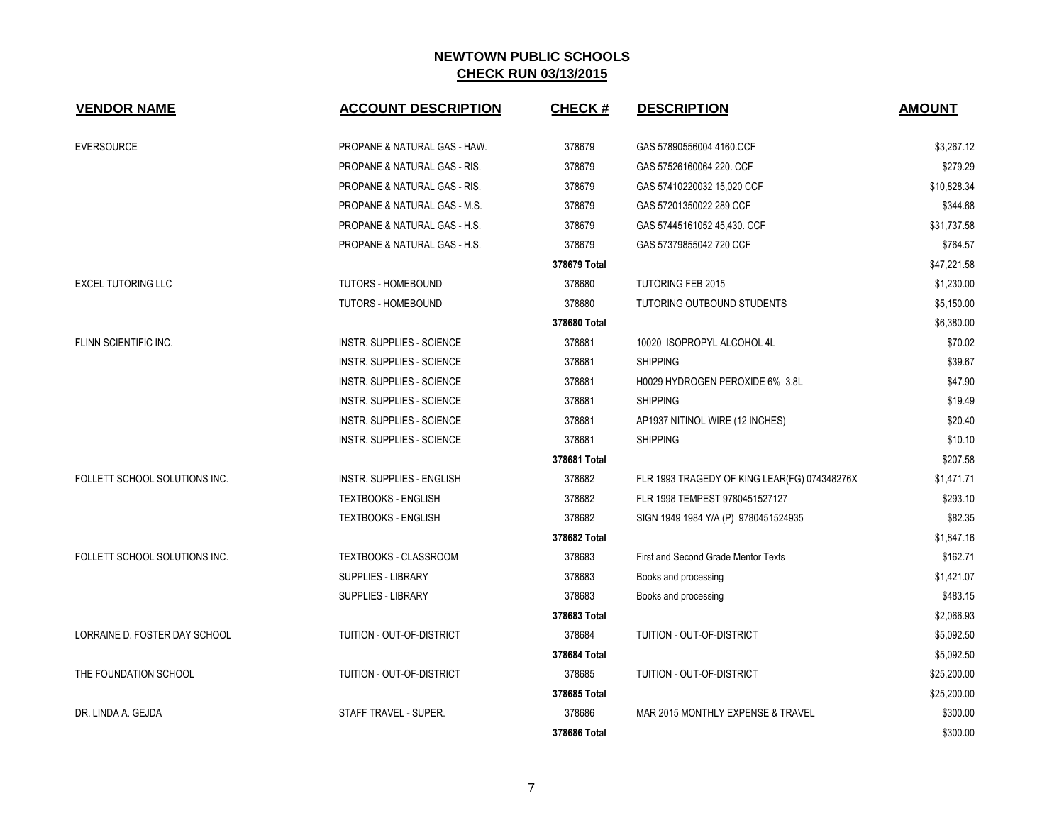| <b>VENDOR NAME</b>            | <b>ACCOUNT DESCRIPTION</b>              | <b>CHECK#</b> | <b>DESCRIPTION</b>                           | <b>AMOUNT</b> |
|-------------------------------|-----------------------------------------|---------------|----------------------------------------------|---------------|
| <b>EVERSOURCE</b>             | PROPANE & NATURAL GAS - HAW.            | 378679        | GAS 57890556004 4160.CCF                     | \$3,267.12    |
|                               | PROPANE & NATURAL GAS - RIS.            | 378679        | GAS 57526160064 220. CCF                     | \$279.29      |
|                               | <b>PROPANE &amp; NATURAL GAS - RIS.</b> | 378679        | GAS 57410220032 15,020 CCF                   | \$10,828.34   |
|                               | PROPANE & NATURAL GAS - M.S.            | 378679        | GAS 57201350022 289 CCF                      | \$344.68      |
|                               | PROPANE & NATURAL GAS - H.S.            | 378679        | GAS 57445161052 45,430. CCF                  | \$31,737.58   |
|                               | PROPANE & NATURAL GAS - H.S.            | 378679        | GAS 57379855042 720 CCF                      | \$764.57      |
|                               |                                         | 378679 Total  |                                              | \$47,221.58   |
| <b>EXCEL TUTORING LLC</b>     | <b>TUTORS - HOMEBOUND</b>               | 378680        | <b>TUTORING FEB 2015</b>                     | \$1,230.00    |
|                               | <b>TUTORS - HOMEBOUND</b>               | 378680        | TUTORING OUTBOUND STUDENTS                   | \$5,150.00    |
|                               |                                         | 378680 Total  |                                              | \$6,380.00    |
| FLINN SCIENTIFIC INC.         | <b>INSTR. SUPPLIES - SCIENCE</b>        | 378681        | 10020 ISOPROPYL ALCOHOL 4L                   | \$70.02       |
|                               | INSTR. SUPPLIES - SCIENCE               | 378681        | <b>SHIPPING</b>                              | \$39.67       |
|                               | INSTR. SUPPLIES - SCIENCE               | 378681        | H0029 HYDROGEN PEROXIDE 6% 3.8L              | \$47.90       |
|                               | <b>INSTR. SUPPLIES - SCIENCE</b>        | 378681        | <b>SHIPPING</b>                              | \$19.49       |
|                               | INSTR. SUPPLIES - SCIENCE               | 378681        | AP1937 NITINOL WIRE (12 INCHES)              | \$20.40       |
|                               | INSTR. SUPPLIES - SCIENCE               | 378681        | <b>SHIPPING</b>                              | \$10.10       |
|                               |                                         | 378681 Total  |                                              | \$207.58      |
| FOLLETT SCHOOL SOLUTIONS INC. | <b>INSTR. SUPPLIES - ENGLISH</b>        | 378682        | FLR 1993 TRAGEDY OF KING LEAR(FG) 074348276X | \$1,471.71    |
|                               | <b>TEXTBOOKS - ENGLISH</b>              | 378682        | FLR 1998 TEMPEST 9780451527127               | \$293.10      |
|                               | <b>TEXTBOOKS - ENGLISH</b>              | 378682        | SIGN 1949 1984 Y/A (P) 9780451524935         | \$82.35       |
|                               |                                         | 378682 Total  |                                              | \$1,847.16    |
| FOLLETT SCHOOL SOLUTIONS INC. | TEXTBOOKS - CLASSROOM                   | 378683        | First and Second Grade Mentor Texts          | \$162.71      |
|                               | SUPPLIES - LIBRARY                      | 378683        | Books and processing                         | \$1,421.07    |
|                               | SUPPLIES - LIBRARY                      | 378683        | Books and processing                         | \$483.15      |
|                               |                                         | 378683 Total  |                                              | \$2,066.93    |
| LORRAINE D. FOSTER DAY SCHOOL | TUITION - OUT-OF-DISTRICT               | 378684        | TUITION - OUT-OF-DISTRICT                    | \$5,092.50    |
|                               |                                         | 378684 Total  |                                              | \$5,092.50    |
| THE FOUNDATION SCHOOL         | TUITION - OUT-OF-DISTRICT               | 378685        | TUITION - OUT-OF-DISTRICT                    | \$25,200.00   |
|                               |                                         | 378685 Total  |                                              | \$25,200.00   |
| DR. LINDA A. GEJDA            | STAFF TRAVEL - SUPER.                   | 378686        | MAR 2015 MONTHLY EXPENSE & TRAVEL            | \$300.00      |
|                               |                                         | 378686 Total  |                                              | \$300.00      |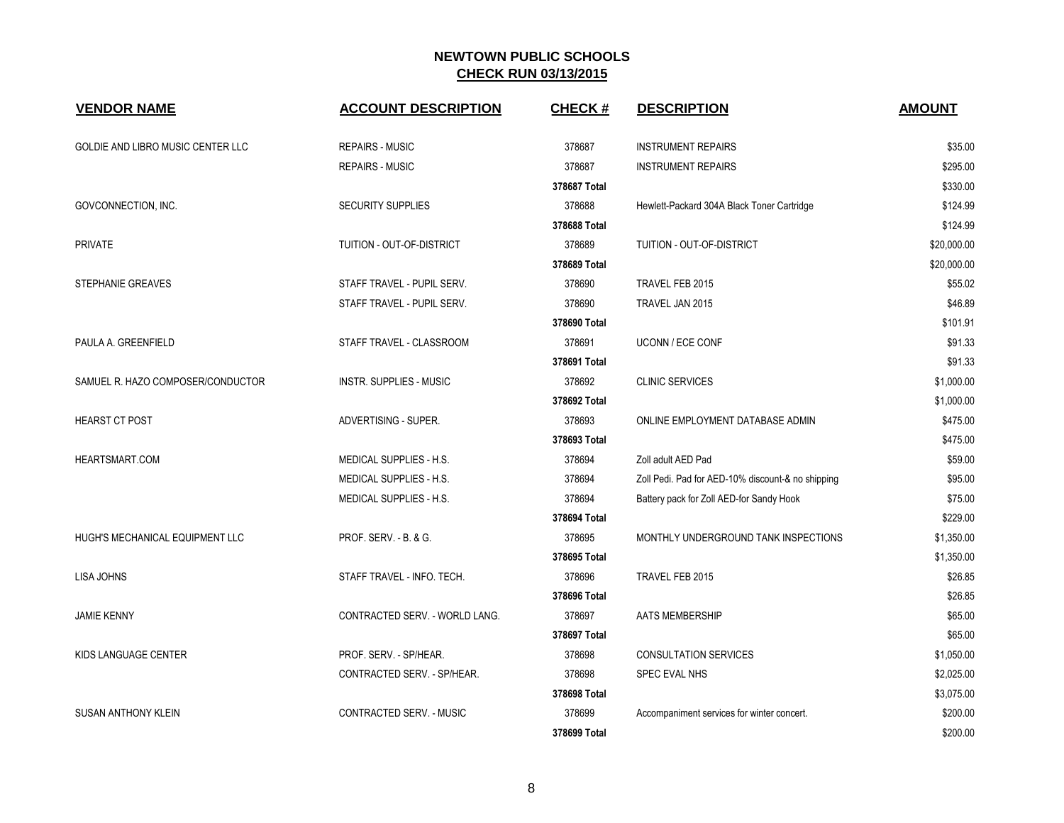| <b>VENDOR NAME</b>                       | <b>ACCOUNT DESCRIPTION</b>     | <b>CHECK#</b> | <b>DESCRIPTION</b>                                | <b>AMOUNT</b> |
|------------------------------------------|--------------------------------|---------------|---------------------------------------------------|---------------|
| <b>GOLDIE AND LIBRO MUSIC CENTER LLC</b> | <b>REPAIRS - MUSIC</b>         | 378687        | <b>INSTRUMENT REPAIRS</b>                         | \$35.00       |
|                                          | <b>REPAIRS - MUSIC</b>         | 378687        | <b>INSTRUMENT REPAIRS</b>                         | \$295.00      |
|                                          |                                | 378687 Total  |                                                   | \$330.00      |
| GOVCONNECTION, INC.                      | <b>SECURITY SUPPLIES</b>       | 378688        | Hewlett-Packard 304A Black Toner Cartridge        | \$124.99      |
|                                          |                                | 378688 Total  |                                                   | \$124.99      |
| <b>PRIVATE</b>                           | TUITION - OUT-OF-DISTRICT      | 378689        | TUITION - OUT-OF-DISTRICT                         | \$20,000.00   |
|                                          |                                | 378689 Total  |                                                   | \$20,000.00   |
| STEPHANIE GREAVES                        | STAFF TRAVEL - PUPIL SERV.     | 378690        | TRAVEL FEB 2015                                   | \$55.02       |
|                                          | STAFF TRAVEL - PUPIL SERV.     | 378690        | TRAVEL JAN 2015                                   | \$46.89       |
|                                          |                                | 378690 Total  |                                                   | \$101.91      |
| PAULA A. GREENFIELD                      | STAFF TRAVEL - CLASSROOM       | 378691        | <b>UCONN / ECE CONF</b>                           | \$91.33       |
|                                          |                                | 378691 Total  |                                                   | \$91.33       |
| SAMUEL R. HAZO COMPOSER/CONDUCTOR        | <b>INSTR. SUPPLIES - MUSIC</b> | 378692        | <b>CLINIC SERVICES</b>                            | \$1,000.00    |
|                                          |                                | 378692 Total  |                                                   | \$1,000.00    |
| <b>HEARST CT POST</b>                    | ADVERTISING - SUPER.           | 378693        | ONLINE EMPLOYMENT DATABASE ADMIN                  | \$475.00      |
|                                          |                                | 378693 Total  |                                                   | \$475.00      |
| HEARTSMART.COM                           | MEDICAL SUPPLIES - H.S.        | 378694        | Zoll adult AED Pad                                | \$59.00       |
|                                          | MEDICAL SUPPLIES - H.S.        | 378694        | Zoll Pedi. Pad for AED-10% discount-& no shipping | \$95.00       |
|                                          | MEDICAL SUPPLIES - H.S.        | 378694        | Battery pack for Zoll AED-for Sandy Hook          | \$75.00       |
|                                          |                                | 378694 Total  |                                                   | \$229.00      |
| HUGH'S MECHANICAL EQUIPMENT LLC          | PROF. SERV. - B. & G.          | 378695        | MONTHLY UNDERGROUND TANK INSPECTIONS              | \$1,350.00    |
|                                          |                                | 378695 Total  |                                                   | \$1,350.00    |
| <b>LISA JOHNS</b>                        | STAFF TRAVEL - INFO. TECH.     | 378696        | TRAVEL FEB 2015                                   | \$26.85       |
|                                          |                                | 378696 Total  |                                                   | \$26.85       |
| <b>JAMIE KENNY</b>                       | CONTRACTED SERV. - WORLD LANG. | 378697        | AATS MEMBERSHIP                                   | \$65.00       |
|                                          |                                | 378697 Total  |                                                   | \$65.00       |
| KIDS LANGUAGE CENTER                     | PROF. SERV. - SP/HEAR.         | 378698        | <b>CONSULTATION SERVICES</b>                      | \$1,050.00    |
|                                          | CONTRACTED SERV. - SP/HEAR.    | 378698        | SPEC EVAL NHS                                     | \$2,025.00    |
|                                          |                                | 378698 Total  |                                                   | \$3,075.00    |
| <b>SUSAN ANTHONY KLEIN</b>               | CONTRACTED SERV. - MUSIC       | 378699        | Accompaniment services for winter concert.        | \$200.00      |
|                                          |                                | 378699 Total  |                                                   | \$200.00      |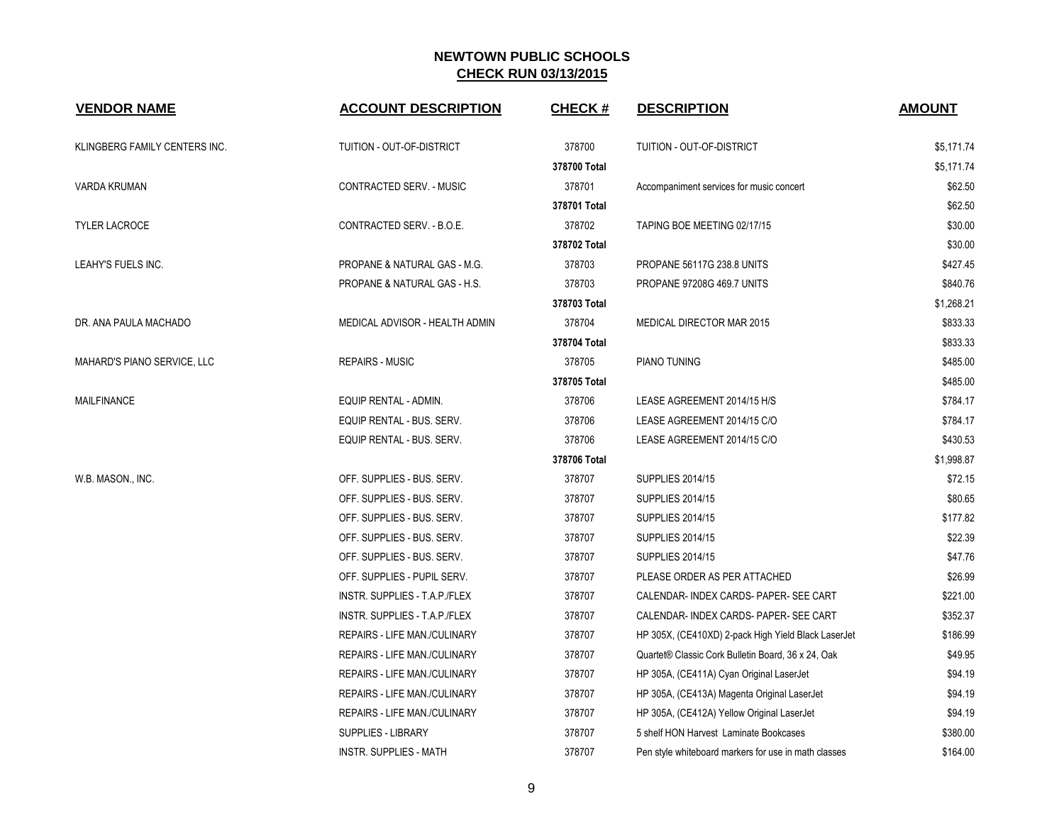| <b>VENDOR NAME</b>            | <b>ACCOUNT DESCRIPTION</b>          | <b>CHECK#</b> | <b>DESCRIPTION</b>                                   | <b>AMOUNT</b> |
|-------------------------------|-------------------------------------|---------------|------------------------------------------------------|---------------|
| KLINGBERG FAMILY CENTERS INC. | TUITION - OUT-OF-DISTRICT           | 378700        | TUITION - OUT-OF-DISTRICT                            | \$5,171.74    |
|                               |                                     | 378700 Total  |                                                      | \$5,171.74    |
| <b>VARDA KRUMAN</b>           | CONTRACTED SERV. - MUSIC            | 378701        | Accompaniment services for music concert             | \$62.50       |
|                               |                                     | 378701 Total  |                                                      | \$62.50       |
| <b>TYLER LACROCE</b>          | CONTRACTED SERV. - B.O.E.           | 378702        | TAPING BOE MEETING 02/17/15                          | \$30.00       |
|                               |                                     | 378702 Total  |                                                      | \$30.00       |
| LEAHY'S FUELS INC.            | PROPANE & NATURAL GAS - M.G.        | 378703        | PROPANE 56117G 238.8 UNITS                           | \$427.45      |
|                               | PROPANE & NATURAL GAS - H.S.        | 378703        | PROPANE 97208G 469.7 UNITS                           | \$840.76      |
|                               |                                     | 378703 Total  |                                                      | \$1,268.21    |
| DR. ANA PAULA MACHADO         | MEDICAL ADVISOR - HEALTH ADMIN      | 378704        | MEDICAL DIRECTOR MAR 2015                            | \$833.33      |
|                               |                                     | 378704 Total  |                                                      | \$833.33      |
| MAHARD'S PIANO SERVICE, LLC   | <b>REPAIRS - MUSIC</b>              | 378705        | PIANO TUNING                                         | \$485.00      |
|                               |                                     | 378705 Total  |                                                      | \$485.00      |
| <b>MAILFINANCE</b>            | EQUIP RENTAL - ADMIN.               | 378706        | LEASE AGREEMENT 2014/15 H/S                          | \$784.17      |
|                               | EQUIP RENTAL - BUS. SERV.           | 378706        | LEASE AGREEMENT 2014/15 C/O                          | \$784.17      |
|                               | EQUIP RENTAL - BUS. SERV.           | 378706        | LEASE AGREEMENT 2014/15 C/O                          | \$430.53      |
|                               |                                     | 378706 Total  |                                                      | \$1,998.87    |
| W.B. MASON., INC.             | OFF. SUPPLIES - BUS. SERV.          | 378707        | <b>SUPPLIES 2014/15</b>                              | \$72.15       |
|                               | OFF. SUPPLIES - BUS. SERV.          | 378707        | <b>SUPPLIES 2014/15</b>                              | \$80.65       |
|                               | OFF. SUPPLIES - BUS. SERV.          | 378707        | <b>SUPPLIES 2014/15</b>                              | \$177.82      |
|                               | OFF. SUPPLIES - BUS. SERV.          | 378707        | <b>SUPPLIES 2014/15</b>                              | \$22.39       |
|                               | OFF. SUPPLIES - BUS. SERV.          | 378707        | <b>SUPPLIES 2014/15</b>                              | \$47.76       |
|                               | OFF. SUPPLIES - PUPIL SERV.         | 378707        | PLEASE ORDER AS PER ATTACHED                         | \$26.99       |
|                               | INSTR. SUPPLIES - T.A.P./FLEX       | 378707        | CALENDAR- INDEX CARDS- PAPER- SEE CART               | \$221.00      |
|                               | INSTR. SUPPLIES - T.A.P./FLEX       | 378707        | CALENDAR- INDEX CARDS- PAPER- SEE CART               | \$352.37      |
|                               | REPAIRS - LIFE MAN./CULINARY        | 378707        | HP 305X, (CE410XD) 2-pack High Yield Black LaserJet  | \$186.99      |
|                               | REPAIRS - LIFE MAN./CULINARY        | 378707        | Quartet® Classic Cork Bulletin Board, 36 x 24, Oak   | \$49.95       |
|                               | <b>REPAIRS - LIFE MAN /CULINARY</b> | 378707        | HP 305A, (CE411A) Cyan Original LaserJet             | \$94.19       |
|                               | REPAIRS - LIFE MAN./CULINARY        | 378707        | HP 305A, (CE413A) Magenta Original LaserJet          | \$94.19       |
|                               | REPAIRS - LIFE MAN./CULINARY        | 378707        | HP 305A, (CE412A) Yellow Original LaserJet           | \$94.19       |
|                               | <b>SUPPLIES - LIBRARY</b>           | 378707        | 5 shelf HON Harvest Laminate Bookcases               | \$380.00      |
|                               | INSTR. SUPPLIES - MATH              | 378707        | Pen style whiteboard markers for use in math classes | \$164.00      |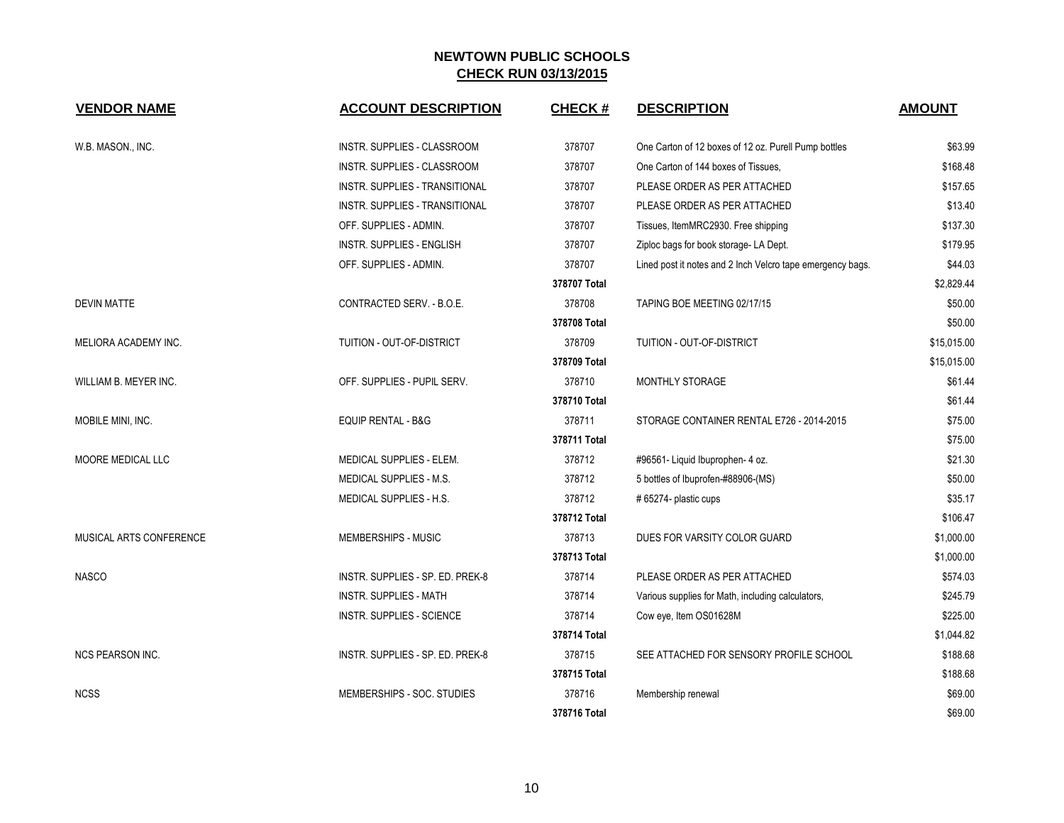| <b>VENDOR NAME</b>      | <b>ACCOUNT DESCRIPTION</b>            | <b>CHECK#</b> | <b>DESCRIPTION</b>                                         | <b>AMOUNT</b> |
|-------------------------|---------------------------------------|---------------|------------------------------------------------------------|---------------|
| W.B. MASON., INC.       | INSTR. SUPPLIES - CLASSROOM           | 378707        | One Carton of 12 boxes of 12 oz. Purell Pump bottles       | \$63.99       |
|                         | INSTR. SUPPLIES - CLASSROOM           | 378707        | One Carton of 144 boxes of Tissues,                        | \$168.48      |
|                         | INSTR. SUPPLIES - TRANSITIONAL        | 378707        | PLEASE ORDER AS PER ATTACHED                               | \$157.65      |
|                         | <b>INSTR. SUPPLIES - TRANSITIONAL</b> | 378707        | PLEASE ORDER AS PER ATTACHED                               | \$13.40       |
|                         | OFF. SUPPLIES - ADMIN.                | 378707        | Tissues, ItemMRC2930. Free shipping                        | \$137.30      |
|                         | <b>INSTR. SUPPLIES - ENGLISH</b>      | 378707        | Ziploc bags for book storage- LA Dept.                     | \$179.95      |
|                         | OFF. SUPPLIES - ADMIN.                | 378707        | Lined post it notes and 2 Inch Velcro tape emergency bags. | \$44.03       |
|                         |                                       | 378707 Total  |                                                            | \$2,829.44    |
| <b>DEVIN MATTE</b>      | CONTRACTED SERV. - B.O.E.             | 378708        | TAPING BOE MEETING 02/17/15                                | \$50.00       |
|                         |                                       | 378708 Total  |                                                            | \$50.00       |
| MELIORA ACADEMY INC.    | TUITION - OUT-OF-DISTRICT             | 378709        | TUITION - OUT-OF-DISTRICT                                  | \$15,015.00   |
|                         |                                       | 378709 Total  |                                                            | \$15,015.00   |
| WILLIAM B. MEYER INC.   | OFF. SUPPLIES - PUPIL SERV.           | 378710        | <b>MONTHLY STORAGE</b>                                     | \$61.44       |
|                         |                                       | 378710 Total  |                                                            | \$61.44       |
| MOBILE MINI, INC.       | <b>EQUIP RENTAL - B&amp;G</b>         | 378711        | STORAGE CONTAINER RENTAL E726 - 2014-2015                  | \$75.00       |
|                         |                                       | 378711 Total  |                                                            | \$75.00       |
| MOORE MEDICAL LLC       | MEDICAL SUPPLIES - ELEM.              | 378712        | #96561- Liquid Ibuprophen- 4 oz.                           | \$21.30       |
|                         | <b>MEDICAL SUPPLIES - M.S.</b>        | 378712        | 5 bottles of Ibuprofen-#88906-(MS)                         | \$50.00       |
|                         | MEDICAL SUPPLIES - H.S.               | 378712        | #65274- plastic cups                                       | \$35.17       |
|                         |                                       | 378712 Total  |                                                            | \$106.47      |
| MUSICAL ARTS CONFERENCE | MEMBERSHIPS - MUSIC                   | 378713        | DUES FOR VARSITY COLOR GUARD                               | \$1,000.00    |
|                         |                                       | 378713 Total  |                                                            | \$1,000.00    |
| <b>NASCO</b>            | INSTR. SUPPLIES - SP. ED. PREK-8      | 378714        | PLEASE ORDER AS PER ATTACHED                               | \$574.03      |
|                         | <b>INSTR. SUPPLIES - MATH</b>         | 378714        | Various supplies for Math, including calculators,          | \$245.79      |
|                         | <b>INSTR. SUPPLIES - SCIENCE</b>      | 378714        | Cow eye, Item OS01628M                                     | \$225.00      |
|                         |                                       | 378714 Total  |                                                            | \$1,044.82    |
| <b>NCS PEARSON INC.</b> | INSTR. SUPPLIES - SP. ED. PREK-8      | 378715        | SEE ATTACHED FOR SENSORY PROFILE SCHOOL                    | \$188.68      |
|                         |                                       | 378715 Total  |                                                            | \$188.68      |
| <b>NCSS</b>             | MEMBERSHIPS - SOC. STUDIES            | 378716        | Membership renewal                                         | \$69.00       |
|                         |                                       | 378716 Total  |                                                            | \$69.00       |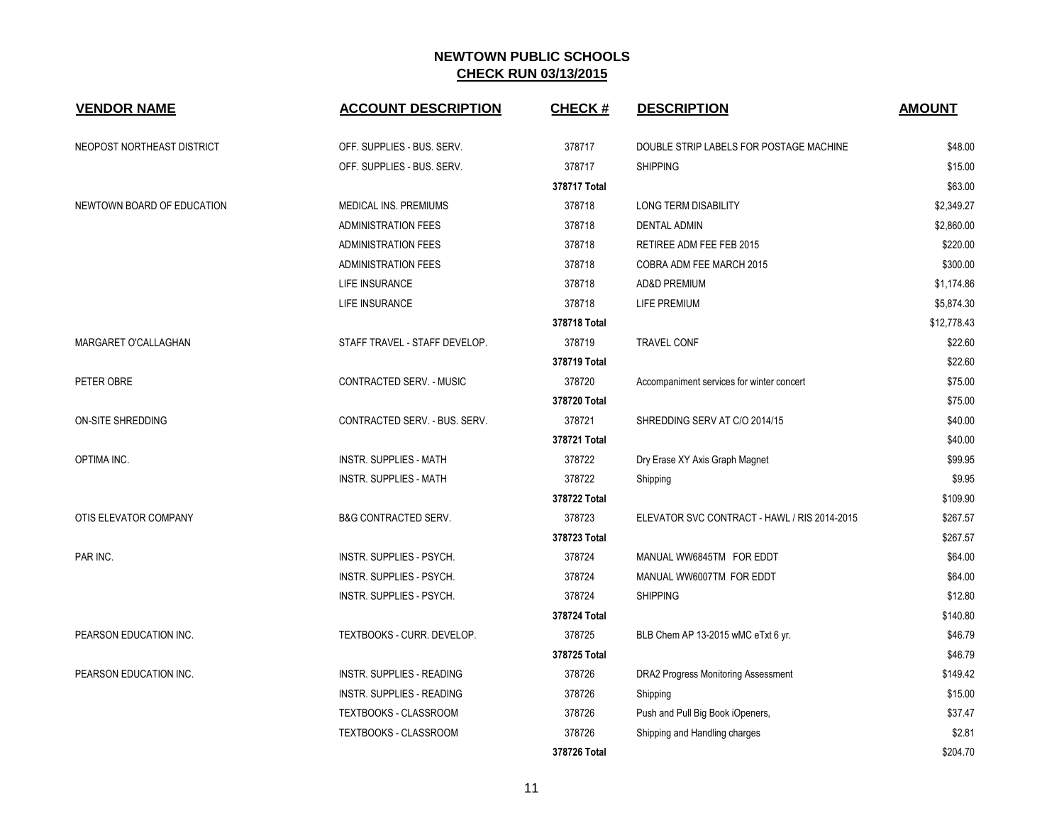| <b>VENDOR NAME</b>         | <b>ACCOUNT DESCRIPTION</b>       | <b>CHECK#</b> | <b>DESCRIPTION</b>                           | <b>AMOUNT</b> |
|----------------------------|----------------------------------|---------------|----------------------------------------------|---------------|
| NEOPOST NORTHEAST DISTRICT | OFF. SUPPLIES - BUS. SERV.       | 378717        | DOUBLE STRIP LABELS FOR POSTAGE MACHINE      | \$48.00       |
|                            | OFF. SUPPLIES - BUS. SERV.       | 378717        | <b>SHIPPING</b>                              | \$15.00       |
|                            |                                  | 378717 Total  |                                              | \$63.00       |
| NEWTOWN BOARD OF EDUCATION | MEDICAL INS. PREMIUMS            | 378718        | <b>LONG TERM DISABILITY</b>                  | \$2,349.27    |
|                            | <b>ADMINISTRATION FEES</b>       | 378718        | <b>DENTAL ADMIN</b>                          | \$2,860.00    |
|                            | <b>ADMINISTRATION FEES</b>       | 378718        | RETIREE ADM FEE FEB 2015                     | \$220.00      |
|                            | <b>ADMINISTRATION FEES</b>       | 378718        | COBRA ADM FEE MARCH 2015                     | \$300.00      |
|                            | LIFE INSURANCE                   | 378718        | <b>AD&amp;D PREMIUM</b>                      | \$1,174.86    |
|                            | LIFE INSURANCE                   | 378718        | <b>LIFE PREMIUM</b>                          | \$5,874.30    |
|                            |                                  | 378718 Total  |                                              | \$12,778.43   |
| MARGARET O'CALLAGHAN       | STAFF TRAVEL - STAFF DEVELOP.    | 378719        | <b>TRAVEL CONF</b>                           | \$22.60       |
|                            |                                  | 378719 Total  |                                              | \$22.60       |
| PETER OBRE                 | <b>CONTRACTED SERV. - MUSIC</b>  | 378720        | Accompaniment services for winter concert    | \$75.00       |
|                            |                                  | 378720 Total  |                                              | \$75.00       |
| <b>ON-SITE SHREDDING</b>   | CONTRACTED SERV. - BUS. SERV.    | 378721        | SHREDDING SERV AT C/O 2014/15                | \$40.00       |
|                            |                                  | 378721 Total  |                                              | \$40.00       |
| OPTIMA INC.                | <b>INSTR. SUPPLIES - MATH</b>    | 378722        | Dry Erase XY Axis Graph Magnet               | \$99.95       |
|                            | <b>INSTR. SUPPLIES - MATH</b>    | 378722        | Shipping                                     | \$9.95        |
|                            |                                  | 378722 Total  |                                              | \$109.90      |
| OTIS ELEVATOR COMPANY      | <b>B&amp;G CONTRACTED SERV.</b>  | 378723        | ELEVATOR SVC CONTRACT - HAWL / RIS 2014-2015 | \$267.57      |
|                            |                                  | 378723 Total  |                                              | \$267.57      |
| PAR INC.                   | <b>INSTR. SUPPLIES - PSYCH.</b>  | 378724        | MANUAL WW6845TM FOR EDDT                     | \$64.00       |
|                            | INSTR. SUPPLIES - PSYCH.         | 378724        | MANUAL WW6007TM FOR EDDT                     | \$64.00       |
|                            | INSTR. SUPPLIES - PSYCH.         | 378724        | <b>SHIPPING</b>                              | \$12.80       |
|                            |                                  | 378724 Total  |                                              | \$140.80      |
| PEARSON EDUCATION INC.     | TEXTBOOKS - CURR. DEVELOP.       | 378725        | BLB Chem AP 13-2015 wMC eTxt 6 yr.           | \$46.79       |
|                            |                                  | 378725 Total  |                                              | \$46.79       |
| PEARSON EDUCATION INC.     | <b>INSTR. SUPPLIES - READING</b> | 378726        | DRA2 Progress Monitoring Assessment          | \$149.42      |
|                            | INSTR. SUPPLIES - READING        | 378726        | Shipping                                     | \$15.00       |
|                            | TEXTBOOKS - CLASSROOM            | 378726        | Push and Pull Big Book iOpeners,             | \$37.47       |
|                            | TEXTBOOKS - CLASSROOM            | 378726        | Shipping and Handling charges                | \$2.81        |
|                            |                                  | 378726 Total  |                                              | \$204.70      |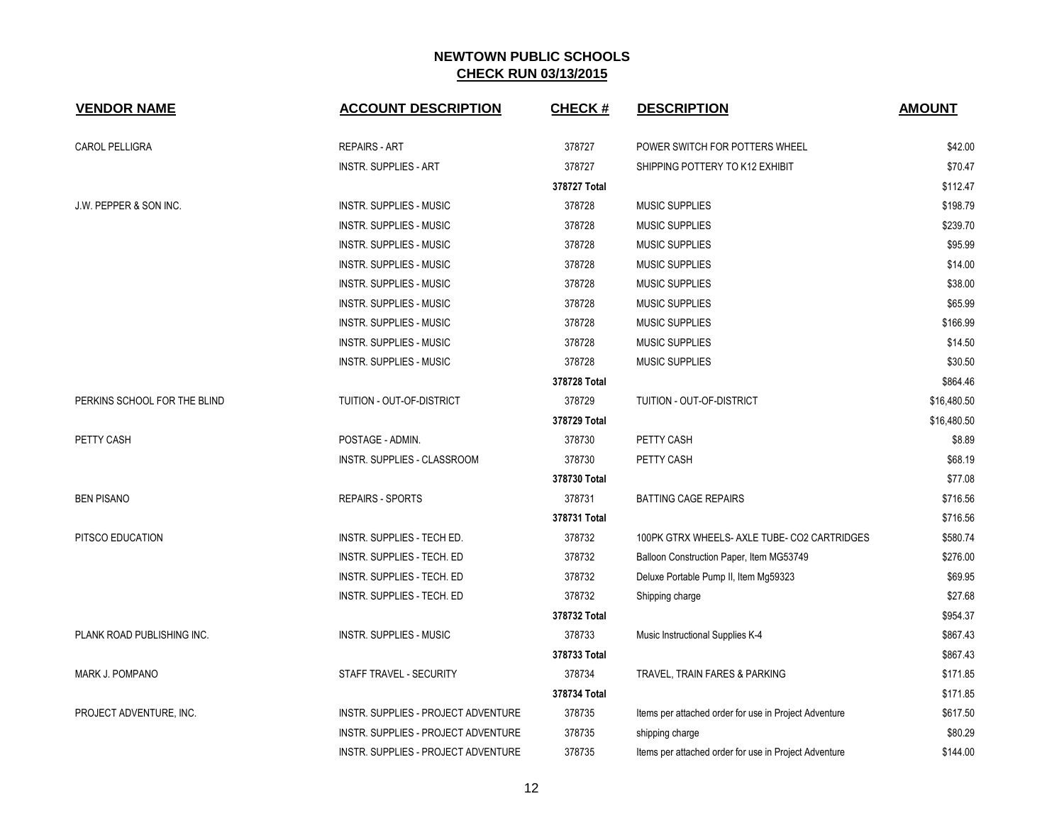| <b>VENDOR NAME</b>           | <b>ACCOUNT DESCRIPTION</b>          | <b>CHECK#</b> | <b>DESCRIPTION</b>                                    | <b>AMOUNT</b> |
|------------------------------|-------------------------------------|---------------|-------------------------------------------------------|---------------|
| <b>CAROL PELLIGRA</b>        | <b>REPAIRS - ART</b>                | 378727        | POWER SWITCH FOR POTTERS WHEEL                        | \$42.00       |
|                              | <b>INSTR. SUPPLIES - ART</b>        | 378727        | SHIPPING POTTERY TO K12 EXHIBIT                       | \$70.47       |
|                              |                                     | 378727 Total  |                                                       | \$112.47      |
| J.W. PEPPER & SON INC.       | <b>INSTR. SUPPLIES - MUSIC</b>      | 378728        | <b>MUSIC SUPPLIES</b>                                 | \$198.79      |
|                              | <b>INSTR. SUPPLIES - MUSIC</b>      | 378728        | <b>MUSIC SUPPLIES</b>                                 | \$239.70      |
|                              | <b>INSTR. SUPPLIES - MUSIC</b>      | 378728        | <b>MUSIC SUPPLIES</b>                                 | \$95.99       |
|                              | <b>INSTR. SUPPLIES - MUSIC</b>      | 378728        | <b>MUSIC SUPPLIES</b>                                 | \$14.00       |
|                              | <b>INSTR. SUPPLIES - MUSIC</b>      | 378728        | <b>MUSIC SUPPLIES</b>                                 | \$38.00       |
|                              | <b>INSTR. SUPPLIES - MUSIC</b>      | 378728        | <b>MUSIC SUPPLIES</b>                                 | \$65.99       |
|                              | <b>INSTR. SUPPLIES - MUSIC</b>      | 378728        | <b>MUSIC SUPPLIES</b>                                 | \$166.99      |
|                              | INSTR. SUPPLIES - MUSIC             | 378728        | <b>MUSIC SUPPLIES</b>                                 | \$14.50       |
|                              | <b>INSTR. SUPPLIES - MUSIC</b>      | 378728        | <b>MUSIC SUPPLIES</b>                                 | \$30.50       |
|                              |                                     | 378728 Total  |                                                       | \$864.46      |
| PERKINS SCHOOL FOR THE BLIND | TUITION - OUT-OF-DISTRICT           | 378729        | TUITION - OUT-OF-DISTRICT                             | \$16,480.50   |
|                              |                                     | 378729 Total  |                                                       | \$16,480.50   |
| PETTY CASH                   | POSTAGE - ADMIN.                    | 378730        | PETTY CASH                                            | \$8.89        |
|                              | INSTR. SUPPLIES - CLASSROOM         | 378730        | PETTY CASH                                            | \$68.19       |
|                              |                                     | 378730 Total  |                                                       | \$77.08       |
| <b>BEN PISANO</b>            | <b>REPAIRS - SPORTS</b>             | 378731        | <b>BATTING CAGE REPAIRS</b>                           | \$716.56      |
|                              |                                     | 378731 Total  |                                                       | \$716.56      |
| PITSCO EDUCATION             | INSTR. SUPPLIES - TECH ED.          | 378732        | 100PK GTRX WHEELS- AXLE TUBE- CO2 CARTRIDGES          | \$580.74      |
|                              | INSTR. SUPPLIES - TECH. ED          | 378732        | Balloon Construction Paper, Item MG53749              | \$276.00      |
|                              | INSTR. SUPPLIES - TECH. ED          | 378732        | Deluxe Portable Pump II, Item Mg59323                 | \$69.95       |
|                              | INSTR. SUPPLIES - TECH. ED          | 378732        | Shipping charge                                       | \$27.68       |
|                              |                                     | 378732 Total  |                                                       | \$954.37      |
| PLANK ROAD PUBLISHING INC.   | <b>INSTR. SUPPLIES - MUSIC</b>      | 378733        | Music Instructional Supplies K-4                      | \$867.43      |
|                              |                                     | 378733 Total  |                                                       | \$867.43      |
| <b>MARK J. POMPANO</b>       | STAFF TRAVEL - SECURITY             | 378734        | TRAVEL, TRAIN FARES & PARKING                         | \$171.85      |
|                              |                                     | 378734 Total  |                                                       | \$171.85      |
| PROJECT ADVENTURE, INC.      | INSTR. SUPPLIES - PROJECT ADVENTURE | 378735        | Items per attached order for use in Project Adventure | \$617.50      |
|                              | INSTR. SUPPLIES - PROJECT ADVENTURE | 378735        | shipping charge                                       | \$80.29       |
|                              | INSTR. SUPPLIES - PROJECT ADVENTURE | 378735        | Items per attached order for use in Project Adventure | \$144.00      |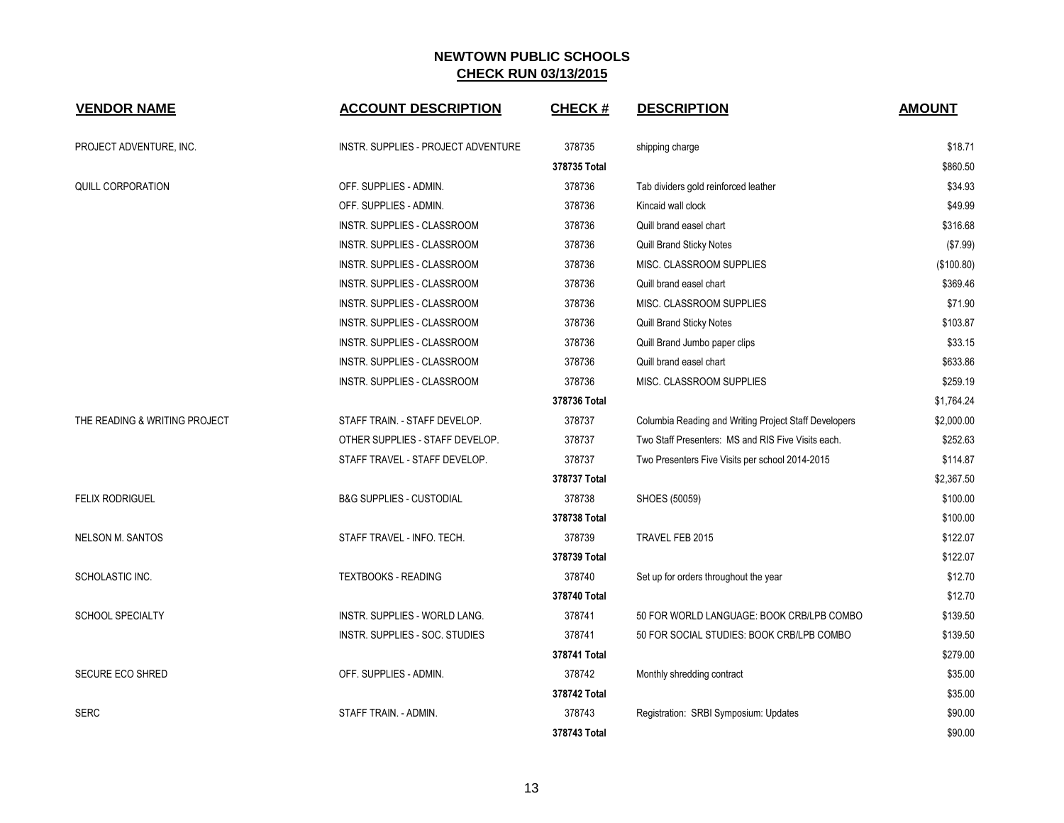| <b>VENDOR NAME</b>            | <b>ACCOUNT DESCRIPTION</b>          | <b>CHECK#</b> | <b>DESCRIPTION</b>                                    | <b>AMOUNT</b> |
|-------------------------------|-------------------------------------|---------------|-------------------------------------------------------|---------------|
| PROJECT ADVENTURE, INC.       | INSTR. SUPPLIES - PROJECT ADVENTURE | 378735        | shipping charge                                       | \$18.71       |
|                               |                                     | 378735 Total  |                                                       | \$860.50      |
| QUILL CORPORATION             | OFF. SUPPLIES - ADMIN.              | 378736        | Tab dividers gold reinforced leather                  | \$34.93       |
|                               | OFF. SUPPLIES - ADMIN.              | 378736        | Kincaid wall clock                                    | \$49.99       |
|                               | INSTR. SUPPLIES - CLASSROOM         | 378736        | Quill brand easel chart                               | \$316.68      |
|                               | INSTR. SUPPLIES - CLASSROOM         | 378736        | Quill Brand Sticky Notes                              | (\$7.99)      |
|                               | INSTR. SUPPLIES - CLASSROOM         | 378736        | MISC. CLASSROOM SUPPLIES                              | (\$100.80)    |
|                               | INSTR. SUPPLIES - CLASSROOM         | 378736        | Quill brand easel chart                               | \$369.46      |
|                               | INSTR. SUPPLIES - CLASSROOM         | 378736        | MISC. CLASSROOM SUPPLIES                              | \$71.90       |
|                               | <b>INSTR. SUPPLIES - CLASSROOM</b>  | 378736        | Quill Brand Sticky Notes                              | \$103.87      |
|                               | INSTR. SUPPLIES - CLASSROOM         | 378736        | Quill Brand Jumbo paper clips                         | \$33.15       |
|                               | INSTR. SUPPLIES - CLASSROOM         | 378736        | Quill brand easel chart                               | \$633.86      |
|                               | INSTR. SUPPLIES - CLASSROOM         | 378736        | MISC. CLASSROOM SUPPLIES                              | \$259.19      |
|                               |                                     | 378736 Total  |                                                       | \$1,764.24    |
| THE READING & WRITING PROJECT | STAFF TRAIN. - STAFF DEVELOP.       | 378737        | Columbia Reading and Writing Project Staff Developers | \$2,000.00    |
|                               | OTHER SUPPLIES - STAFF DEVELOP.     | 378737        | Two Staff Presenters: MS and RIS Five Visits each.    | \$252.63      |
|                               | STAFF TRAVEL - STAFF DEVELOP.       | 378737        | Two Presenters Five Visits per school 2014-2015       | \$114.87      |
|                               |                                     | 378737 Total  |                                                       | \$2,367.50    |
| <b>FELIX RODRIGUEL</b>        | <b>B&amp;G SUPPLIES - CUSTODIAL</b> | 378738        | SHOES (50059)                                         | \$100.00      |
|                               |                                     | 378738 Total  |                                                       | \$100.00      |
| <b>NELSON M. SANTOS</b>       | STAFF TRAVEL - INFO. TECH.          | 378739        | TRAVEL FEB 2015                                       | \$122.07      |
|                               |                                     | 378739 Total  |                                                       | \$122.07      |
| SCHOLASTIC INC.               | <b>TEXTBOOKS - READING</b>          | 378740        | Set up for orders throughout the year                 | \$12.70       |
|                               |                                     | 378740 Total  |                                                       | \$12.70       |
| <b>SCHOOL SPECIALTY</b>       | INSTR. SUPPLIES - WORLD LANG.       | 378741        | 50 FOR WORLD LANGUAGE: BOOK CRB/LPB COMBO             | \$139.50      |
|                               | INSTR. SUPPLIES - SOC. STUDIES      | 378741        | 50 FOR SOCIAL STUDIES: BOOK CRB/LPB COMBO             | \$139.50      |
|                               |                                     | 378741 Total  |                                                       | \$279.00      |
| SECURE ECO SHRED              | OFF. SUPPLIES - ADMIN.              | 378742        | Monthly shredding contract                            | \$35.00       |
|                               |                                     | 378742 Total  |                                                       | \$35.00       |
| <b>SERC</b>                   | STAFF TRAIN. - ADMIN.               | 378743        | Registration: SRBI Symposium: Updates                 | \$90.00       |
|                               |                                     | 378743 Total  |                                                       | \$90.00       |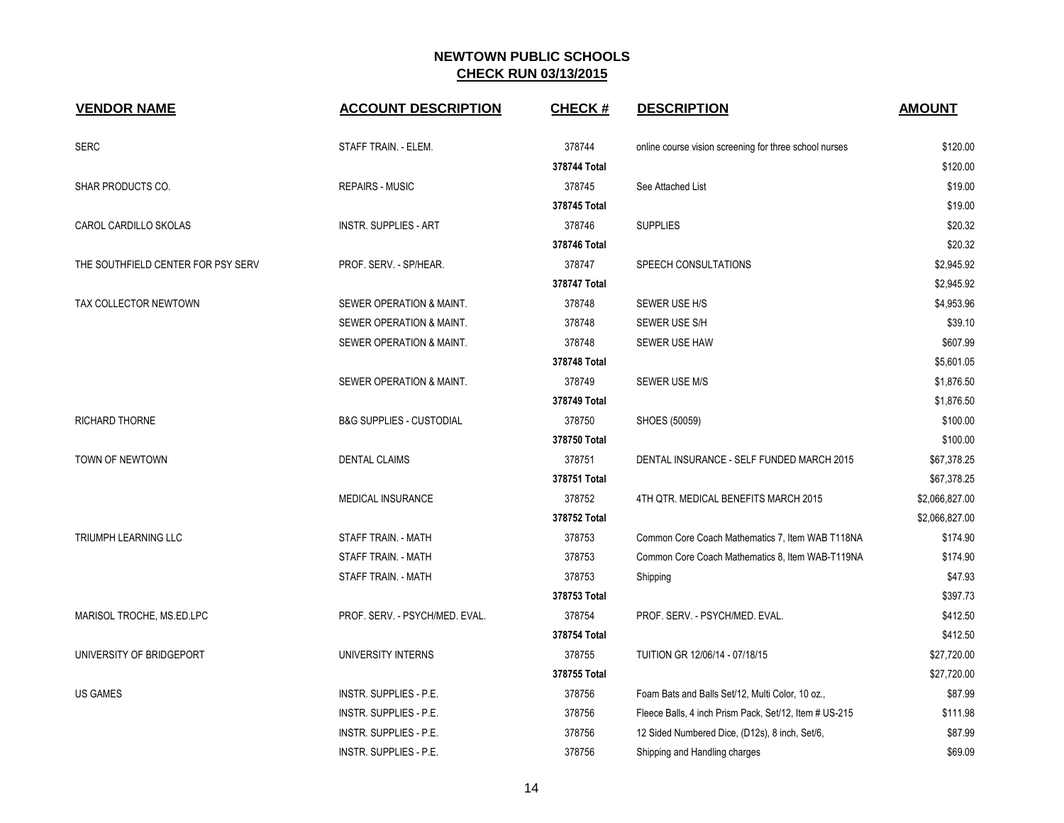| <b>VENDOR NAME</b>                 | <b>ACCOUNT DESCRIPTION</b>          | <b>CHECK#</b> | <b>DESCRIPTION</b>                                     | <b>AMOUNT</b>  |
|------------------------------------|-------------------------------------|---------------|--------------------------------------------------------|----------------|
| <b>SERC</b>                        | STAFF TRAIN. - ELEM.                | 378744        | online course vision screening for three school nurses | \$120.00       |
|                                    |                                     | 378744 Total  |                                                        | \$120.00       |
| <b>SHAR PRODUCTS CO.</b>           | <b>REPAIRS - MUSIC</b>              | 378745        | See Attached List                                      | \$19.00        |
|                                    |                                     | 378745 Total  |                                                        | \$19.00        |
| CAROL CARDILLO SKOLAS              | <b>INSTR. SUPPLIES - ART</b>        | 378746        | <b>SUPPLIES</b>                                        | \$20.32        |
|                                    |                                     | 378746 Total  |                                                        | \$20.32        |
| THE SOUTHFIELD CENTER FOR PSY SERV | PROF. SERV. - SP/HEAR.              | 378747        | SPEECH CONSULTATIONS                                   | \$2,945.92     |
|                                    |                                     | 378747 Total  |                                                        | \$2,945.92     |
| TAX COLLECTOR NEWTOWN              | SEWER OPERATION & MAINT.            | 378748        | SEWER USE H/S                                          | \$4,953.96     |
|                                    | SEWER OPERATION & MAINT.            | 378748        | SEWER USE S/H                                          | \$39.10        |
|                                    | SEWER OPERATION & MAINT.            | 378748        | SEWER USE HAW                                          | \$607.99       |
|                                    |                                     | 378748 Total  |                                                        | \$5,601.05     |
|                                    | SEWER OPERATION & MAINT.            | 378749        | SEWER USE M/S                                          | \$1,876.50     |
|                                    |                                     | 378749 Total  |                                                        | \$1,876.50     |
| <b>RICHARD THORNE</b>              | <b>B&amp;G SUPPLIES - CUSTODIAL</b> | 378750        | SHOES (50059)                                          | \$100.00       |
|                                    |                                     | 378750 Total  |                                                        | \$100.00       |
| TOWN OF NEWTOWN                    | <b>DENTAL CLAIMS</b>                | 378751        | DENTAL INSURANCE - SELF FUNDED MARCH 2015              | \$67,378.25    |
|                                    |                                     | 378751 Total  |                                                        | \$67,378.25    |
|                                    | MEDICAL INSURANCE                   | 378752        | 4TH QTR. MEDICAL BENEFITS MARCH 2015                   | \$2,066,827.00 |
|                                    |                                     | 378752 Total  |                                                        | \$2,066,827.00 |
| <b>TRIUMPH LEARNING LLC</b>        | STAFF TRAIN. - MATH                 | 378753        | Common Core Coach Mathematics 7, Item WAB T118NA       | \$174.90       |
|                                    | STAFF TRAIN. - MATH                 | 378753        | Common Core Coach Mathematics 8, Item WAB-T119NA       | \$174.90       |
|                                    | STAFF TRAIN. - MATH                 | 378753        | Shipping                                               | \$47.93        |
|                                    |                                     | 378753 Total  |                                                        | \$397.73       |
| MARISOL TROCHE, MS.ED.LPC          | PROF. SERV. - PSYCH/MED. EVAL.      | 378754        | PROF. SERV. - PSYCH/MED. EVAL.                         | \$412.50       |
|                                    |                                     | 378754 Total  |                                                        | \$412.50       |
| UNIVERSITY OF BRIDGEPORT           | UNIVERSITY INTERNS                  | 378755        | TUITION GR 12/06/14 - 07/18/15                         | \$27,720.00    |
|                                    |                                     | 378755 Total  |                                                        | \$27,720.00    |
| <b>US GAMES</b>                    | INSTR. SUPPLIES - P.E.              | 378756        | Foam Bats and Balls Set/12, Multi Color, 10 oz.,       | \$87.99        |
|                                    | <b>INSTR. SUPPLIES - P.E.</b>       | 378756        | Fleece Balls, 4 inch Prism Pack, Set/12, Item # US-215 | \$111.98       |
|                                    | INSTR. SUPPLIES - P.E.              | 378756        | 12 Sided Numbered Dice, (D12s), 8 inch, Set/6,         | \$87.99        |
|                                    | INSTR. SUPPLIES - P.E.              | 378756        | Shipping and Handling charges                          | \$69.09        |